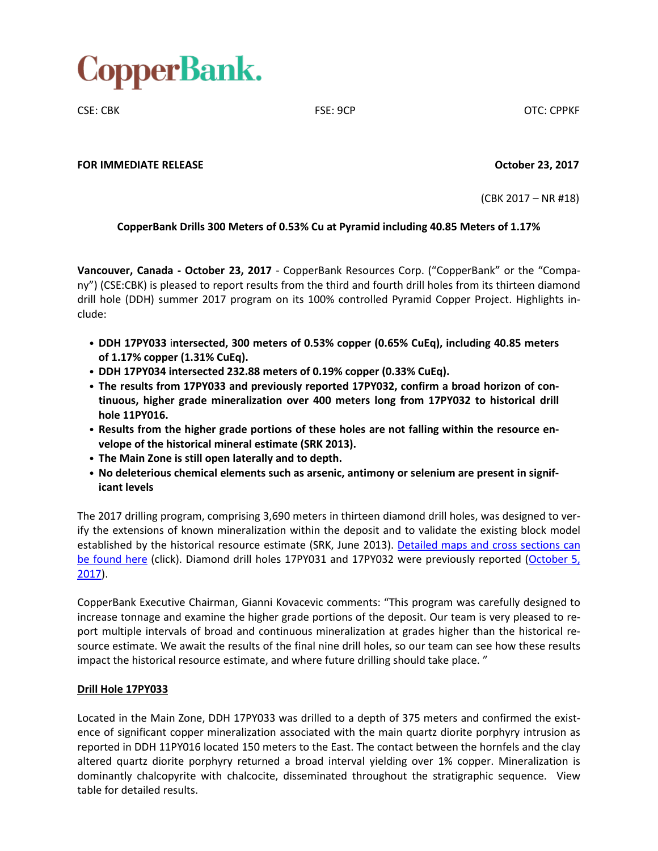

CSE: CBK FSE: 9CP OTC: CPPKF

**FOR IMMEDIATE RELEASE October 23, 2017**

(CBK 2017 – NR #18)

# **CopperBank Drills 300 Meters of 0.53% Cu at Pyramid including 40.85 Meters of 1.17%**

**Vancouver, Canada - October 23, 2017** - CopperBank Resources Corp. ("CopperBank" or the "Company") (CSE:CBK) is pleased to report results from the third and fourth drill holes from its thirteen diamond drill hole (DDH) summer 2017 program on its 100% controlled Pyramid Copper Project. Highlights include:

- **DDH 17PY033** i**ntersected, 300 meters of 0.53% copper (0.65% CuEq), including 40.85 meters of 1.17% copper (1.31% CuEq).**
- **DDH 17PY034 intersected 232.88 meters of 0.19% copper (0.33% CuEq).**
- **The results from 17PY033 and previously reported 17PY032, confirm a broad horizon of continuous, higher grade mineralization over 400 meters long from 17PY032 to historical drill hole 11PY016.**
- **Results from the higher grade portions of these holes are not falling within the resource envelope of the historical mineral estimate (SRK 2013).**
- **The Main Zone is still open laterally and to depth.**
- **No deleterious chemical elements such as arsenic, antimony or selenium are present in significant levels**

The 2017 drilling program, comprising 3,690 meters in thirteen diamond drill holes, was designed to verify the extensions of known mineralization within the deposit and to validate the existing block model established by the historical resource estimate (SRK, June 2013). [Detailed](http://copperbankcorp.com/alaska-projects/about-pyramid/pyramid-project-maps) maps and cross sections can be [found](http://copperbankcorp.com/alaska-projects/about-pyramid/pyramid-project-maps) here (click). Diamond drill holes 17PY031 and 17PY032 were previously reported [\(October](http://copperbankcorp.com/wp-content/uploads/2017/10/17_100417_PyramidDrilling-2.pdf) 5, [2017\)](http://copperbankcorp.com/wp-content/uploads/2017/10/17_100417_PyramidDrilling-2.pdf).

CopperBank Executive Chairman, Gianni Kovacevic comments: "This program was carefully designed to increase tonnage and examine the higher grade portions of the deposit. Our team is very pleased to report multiple intervals of broad and continuous mineralization at grades higher than the historical resource estimate. We await the results of the final nine drill holes, so our team can see how these results impact the historical resource estimate, and where future drilling should take place. "

# **Drill Hole 17PY033**

Located in the Main Zone, DDH 17PY033 was drilled to a depth of 375 meters and confirmed the existence of significant copper mineralization associated with the main quartz diorite porphyry intrusion as reported in DDH 11PY016 located 150 meters to the East. The contact between the hornfels and the clay altered quartz diorite porphyry returned a broad interval yielding over 1% copper. Mineralization is dominantly chalcopyrite with chalcocite, disseminated throughout the stratigraphic sequence. View table for detailed results.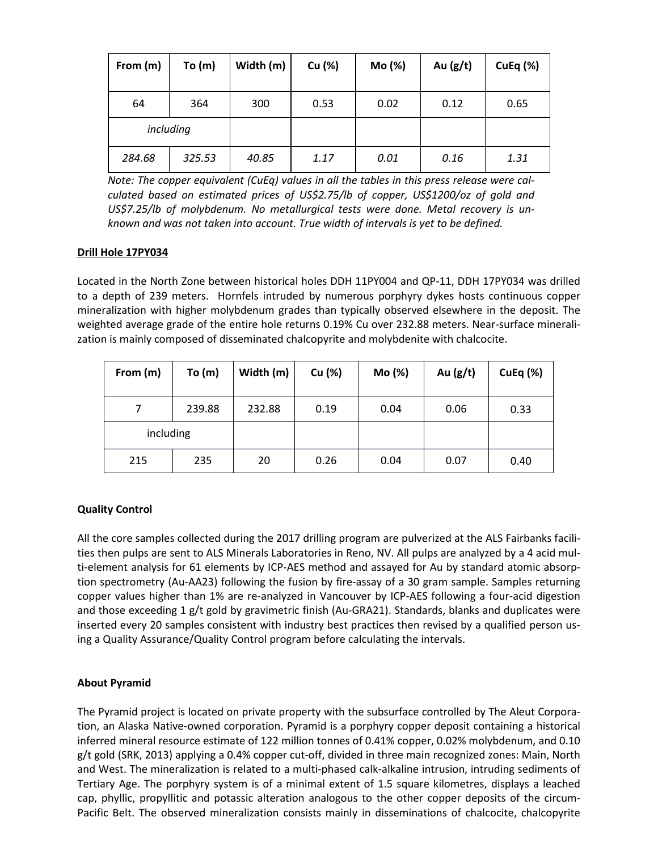| From (m)  | To(m)  | Width (m) | Cu (%) | Mo (%) | Au $(g/t)$ | CuEq $(%)$ |
|-----------|--------|-----------|--------|--------|------------|------------|
| 64        | 364    | 300       | 0.53   | 0.02   | 0.12       | 0.65       |
| including |        |           |        |        |            |            |
| 284.68    | 325.53 | 40.85     | 1.17   | 0.01   | 0.16       | 1.31       |

*Note: The copper equivalent (CuEq) values in all the tables in this press release were calculated based on estimated prices of US\$2.75/lb of copper, US\$1200/oz of gold and US\$7.25/lb of molybdenum. No metallurgical tests were done. Metal recovery is unknown and was not taken into account. True width of intervals is yet to be defined.*

# **Drill Hole 17PY034**

Located in the North Zone between historical holes DDH 11PY004 and QP-11, DDH 17PY034 was drilled to a depth of 239 meters. Hornfels intruded by numerous porphyry dykes hosts continuous copper mineralization with higher molybdenum grades than typically observed elsewhere in the deposit. The weighted average grade of the entire hole returns 0.19% Cu over 232.88 meters. Near-surface mineralization is mainly composed of disseminated chalcopyrite and molybdenite with chalcocite.

| From (m)  | To(m)  | Width (m) | Cu (%) | Mo (%) | Au $(g/t)$ | <b>CuEq (%)</b> |
|-----------|--------|-----------|--------|--------|------------|-----------------|
|           | 239.88 | 232.88    | 0.19   | 0.04   | 0.06       | 0.33            |
| including |        |           |        |        |            |                 |
| 215       | 235    | 20        | 0.26   | 0.04   | 0.07       | 0.40            |

# **Quality Control**

All the core samples collected during the 2017 drilling program are pulverized at the ALS Fairbanks facilities then pulps are sent to ALS Minerals Laboratories in Reno, NV. All pulps are analyzed by a 4 acid multi-element analysis for 61 elements by ICP-AES method and assayed for Au by standard atomic absorption spectrometry (Au-AA23) following the fusion by fire-assay of a 30 gram sample. Samples returning copper values higher than 1% are re-analyzed in Vancouver by ICP-AES following a four-acid digestion and those exceeding 1 g/t gold by gravimetric finish (Au-GRA21). Standards, blanks and duplicates were inserted every 20 samples consistent with industry best practices then revised by a qualified person using a Quality Assurance/Quality Control program before calculating the intervals.

# **About Pyramid**

The Pyramid project is located on private property with the subsurface controlled by The Aleut Corporation, an Alaska Native-owned corporation. Pyramid is a porphyry copper deposit containing a historical inferred mineral resource estimate of 122 million tonnes of 0.41% copper, 0.02% molybdenum, and 0.10 g/t gold (SRK, 2013) applying a 0.4% copper cut-off, divided in three main recognized zones: Main, North and West. The mineralization is related to a multi-phased calk-alkaline intrusion, intruding sediments of Tertiary Age. The porphyry system is of a minimal extent of 1.5 square kilometres, displays a leached cap, phyllic, propyllitic and potassic alteration analogous to the other copper deposits of the circum-Pacific Belt. The observed mineralization consists mainly in disseminations of chalcocite, chalcopyrite